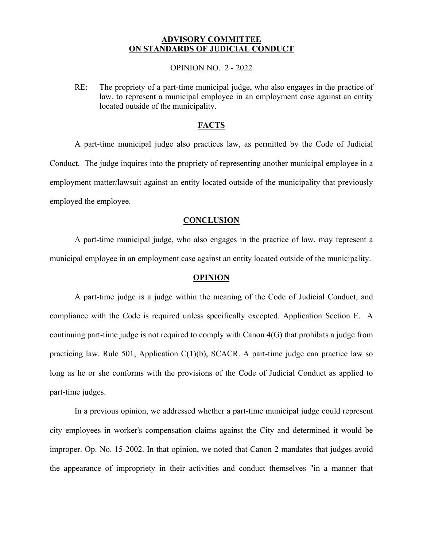# **ADVISORY COMMITTEE ON STANDARDS OF JUDICIAL CONDUCT**

## OPINION NO. 2 - 2022

 RE: The propriety of a part-time municipal judge, who also engages in the practice of law, to represent a municipal employee in an employment case against an entity located outside of the municipality.

## **FACTS**

 A part-time municipal judge also practices law, as permitted by the Code of Judicial Conduct. The judge inquires into the propriety of representing another municipal employee in a employment matter/lawsuit against an entity located outside of the municipality that previously employed the employee.

#### **CONCLUSION**

 A part-time municipal judge, who also engages in the practice of law, may represent a municipal employee in an employment case against an entity located outside of the municipality.

## **OPINION**

 compliance with the Code is required unless specifically excepted. Application Section E. A A part-time judge is a judge within the meaning of the Code of Judicial Conduct, and continuing part-time judge is not required to comply with Canon 4(G) that prohibits a judge from practicing law. Rule 501, Application C(1)(b), SCACR. A part-time judge can practice law so long as he or she conforms with the provisions of the Code of Judicial Conduct as applied to part-time judges.

 the appearance of impropriety in their activities and conduct themselves "in a manner that In a previous opinion, we addressed whether a part-time municipal judge could represent city employees in worker's compensation claims against the City and determined it would be improper. Op. No. 15-2002. In that opinion, we noted that Canon 2 mandates that judges avoid